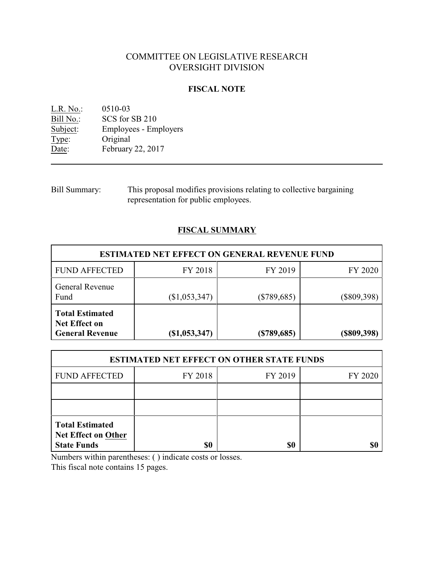# COMMITTEE ON LEGISLATIVE RESEARCH OVERSIGHT DIVISION

# **FISCAL NOTE**

<u>L.R. No.</u>: 0510-03<br>
<u>Bill No.</u>: SCS for : Bill No.: SCS for SB 210<br>Subject: Employees - Em Employees - Employers Type: Original Date: February 22, 2017

Bill Summary: This proposal modifies provisions relating to collective bargaining representation for public employees.

# **FISCAL SUMMARY**

| <b>ESTIMATED NET EFFECT ON GENERAL REVENUE FUND</b>               |                 |               |                |  |  |  |
|-------------------------------------------------------------------|-----------------|---------------|----------------|--|--|--|
| <b>FUND AFFECTED</b>                                              | FY 2018         | FY 2019       | FY 2020        |  |  |  |
| <b>General Revenue</b><br>Fund                                    | $(\$1,053,347)$ | $(\$789,685)$ | $(\$809,398)$  |  |  |  |
| <b>Total Estimated</b><br>Net Effect on<br><b>General Revenue</b> | (\$1,053,347)   | $(*789,685)$  | $($ \$809,398) |  |  |  |

| <b>ESTIMATED NET EFFECT ON OTHER STATE FUNDS</b>                           |         |         |         |  |  |  |
|----------------------------------------------------------------------------|---------|---------|---------|--|--|--|
| <b>FUND AFFECTED</b>                                                       | FY 2018 | FY 2019 | FY 2020 |  |  |  |
|                                                                            |         |         |         |  |  |  |
|                                                                            |         |         |         |  |  |  |
| <b>Total Estimated</b><br><b>Net Effect on Other</b><br><b>State Funds</b> | \$0     | \$0     |         |  |  |  |

Numbers within parentheses: ( ) indicate costs or losses.

This fiscal note contains 15 pages.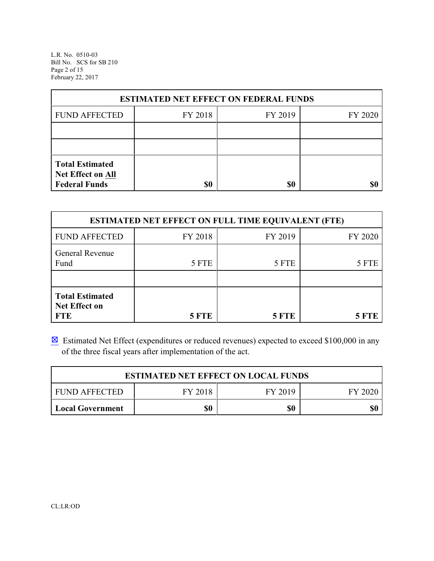L.R. No. 0510-03 Bill No. SCS for SB 210 Page 2 of 15 February 22, 2017

| <b>ESTIMATED NET EFFECT ON FEDERAL FUNDS</b>                        |         |         |         |  |  |  |
|---------------------------------------------------------------------|---------|---------|---------|--|--|--|
| <b>FUND AFFECTED</b>                                                | FY 2018 | FY 2019 | FY 2020 |  |  |  |
|                                                                     |         |         |         |  |  |  |
|                                                                     |         |         |         |  |  |  |
| <b>Total Estimated</b><br>Net Effect on All<br><b>Federal Funds</b> | \$0     | \$0     |         |  |  |  |

| <b>ESTIMATED NET EFFECT ON FULL TIME EQUIVALENT (FTE)</b>    |              |         |              |  |  |  |
|--------------------------------------------------------------|--------------|---------|--------------|--|--|--|
| <b>FUND AFFECTED</b>                                         | FY 2018      | FY 2019 | FY 2020      |  |  |  |
| General Revenue<br>Fund                                      | 5 FTE        | 5 FTE   | 5 FTE        |  |  |  |
| <b>Total Estimated</b><br><b>Net Effect on</b><br><b>FTE</b> | <b>5 FTE</b> | 5 FTE   | <b>5 FTE</b> |  |  |  |

 $\boxtimes$  Estimated Net Effect (expenditures or reduced revenues) expected to exceed \$100,000 in any of the three fiscal years after implementation of the act.

| <b>ESTIMATED NET EFFECT ON LOCAL FUNDS</b>       |  |  |  |  |  |  |
|--------------------------------------------------|--|--|--|--|--|--|
| FY 2018<br>FY 2019<br>I FUND AFFECTED<br>FY 2020 |  |  |  |  |  |  |
| \$0<br>\$0<br>\$0<br>Local Government            |  |  |  |  |  |  |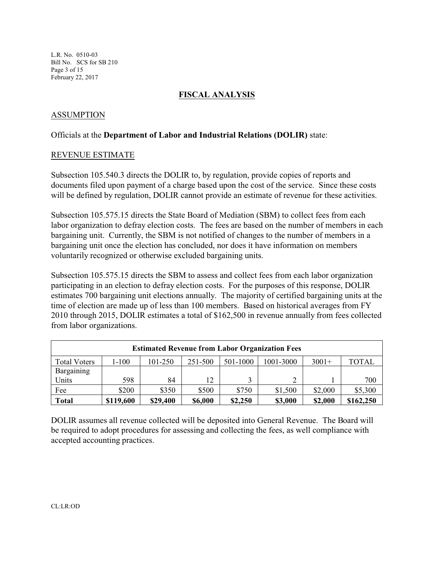L.R. No. 0510-03 Bill No. SCS for SB 210 Page 3 of 15 February 22, 2017

# **FISCAL ANALYSIS**

# ASSUMPTION

#### Officials at the **Department of Labor and Industrial Relations (DOLIR)** state:

#### REVENUE ESTIMATE

Subsection 105.540.3 directs the DOLIR to, by regulation, provide copies of reports and documents filed upon payment of a charge based upon the cost of the service. Since these costs will be defined by regulation, DOLIR cannot provide an estimate of revenue for these activities.

Subsection 105.575.15 directs the State Board of Mediation (SBM) to collect fees from each labor organization to defray election costs. The fees are based on the number of members in each bargaining unit. Currently, the SBM is not notified of changes to the number of members in a bargaining unit once the election has concluded, nor does it have information on members voluntarily recognized or otherwise excluded bargaining units.

Subsection 105.575.15 directs the SBM to assess and collect fees from each labor organization participating in an election to defray election costs. For the purposes of this response, DOLIR estimates 700 bargaining unit elections annually. The majority of certified bargaining units at the time of election are made up of less than 100 members. Based on historical averages from FY 2010 through 2015, DOLIR estimates a total of \$162,500 in revenue annually from fees collected from labor organizations.

| <b>Estimated Revenue from Labor Organization Fees</b>                                          |       |       |       |       |         |         |         |
|------------------------------------------------------------------------------------------------|-------|-------|-------|-------|---------|---------|---------|
| 251-500<br>1001-3000<br>$3001+$<br>501-1000<br>1-100<br>101-250<br><b>Total Voters</b>         |       |       |       |       |         |         | TOTAL   |
| Bargaining                                                                                     |       |       |       |       |         |         |         |
| Units                                                                                          | 598   | 84    | 12    |       |         |         | 700     |
| Fee                                                                                            | \$200 | \$350 | \$500 | \$750 | \$1,500 | \$2,000 | \$5,300 |
| <b>Total</b><br>\$6,000<br>\$162,250<br>\$119,600<br>\$29,400<br>\$3,000<br>\$2,000<br>\$2,250 |       |       |       |       |         |         |         |

DOLIR assumes all revenue collected will be deposited into General Revenue. The Board will be required to adopt procedures for assessing and collecting the fees, as well compliance with accepted accounting practices.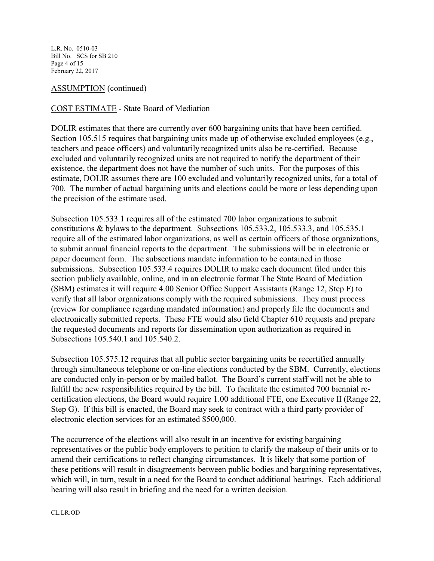L.R. No. 0510-03 Bill No. SCS for SB 210 Page 4 of 15 February 22, 2017

ASSUMPTION (continued)

# COST ESTIMATE *-* State Board of Mediation

DOLIR estimates that there are currently over 600 bargaining units that have been certified. Section 105.515 requires that bargaining units made up of otherwise excluded employees (e.g., teachers and peace officers) and voluntarily recognized units also be re-certified. Because excluded and voluntarily recognized units are not required to notify the department of their existence, the department does not have the number of such units. For the purposes of this estimate, DOLIR assumes there are 100 excluded and voluntarily recognized units, for a total of 700. The number of actual bargaining units and elections could be more or less depending upon the precision of the estimate used.

Subsection 105.533.1 requires all of the estimated 700 labor organizations to submit constitutions & bylaws to the department. Subsections 105.533.2, 105.533.3, and 105.535.1 require all of the estimated labor organizations, as well as certain officers of those organizations, to submit annual financial reports to the department. The submissions will be in electronic or paper document form. The subsections mandate information to be contained in those submissions. Subsection 105.533.4 requires DOLIR to make each document filed under this section publicly available, online, and in an electronic format.The State Board of Mediation (SBM) estimates it will require 4.00 Senior Office Support Assistants (Range 12, Step F) to verify that all labor organizations comply with the required submissions. They must process (review for compliance regarding mandated information) and properly file the documents and electronically submitted reports. These FTE would also field Chapter 610 requests and prepare the requested documents and reports for dissemination upon authorization as required in Subsections 105.540.1 and 105.540.2.

Subsection 105.575.12 requires that all public sector bargaining units be recertified annually through simultaneous telephone or on-line elections conducted by the SBM. Currently, elections are conducted only in-person or by mailed ballot. The Board's current staff will not be able to fulfill the new responsibilities required by the bill. To facilitate the estimated 700 biennial recertification elections, the Board would require 1.00 additional FTE, one Executive II (Range 22, Step G). If this bill is enacted, the Board may seek to contract with a third party provider of electronic election services for an estimated \$500,000.

The occurrence of the elections will also result in an incentive for existing bargaining representatives or the public body employers to petition to clarify the makeup of their units or to amend their certifications to reflect changing circumstances. It is likely that some portion of these petitions will result in disagreements between public bodies and bargaining representatives, which will, in turn, result in a need for the Board to conduct additional hearings. Each additional hearing will also result in briefing and the need for a written decision.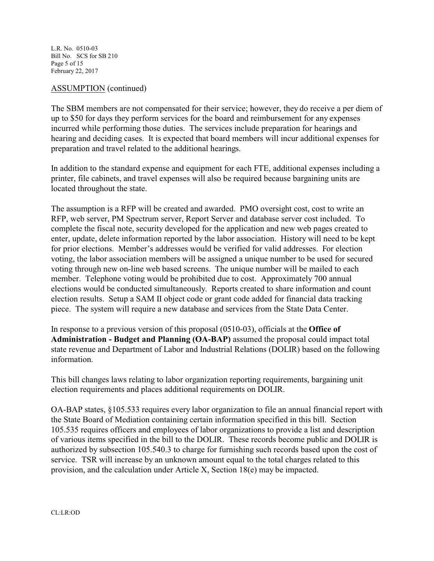L.R. No. 0510-03 Bill No. SCS for SB 210 Page 5 of 15 February 22, 2017

# ASSUMPTION (continued)

The SBM members are not compensated for their service; however, they do receive a per diem of up to \$50 for days they perform services for the board and reimbursement for any expenses incurred while performing those duties. The services include preparation for hearings and hearing and deciding cases. It is expected that board members will incur additional expenses for preparation and travel related to the additional hearings.

In addition to the standard expense and equipment for each FTE, additional expenses including a printer, file cabinets, and travel expenses will also be required because bargaining units are located throughout the state.

The assumption is a RFP will be created and awarded. PMO oversight cost, cost to write an RFP, web server, PM Spectrum server, Report Server and database server cost included. To complete the fiscal note, security developed for the application and new web pages created to enter, update, delete information reported by the labor association. History will need to be kept for prior elections. Member's addresses would be verified for valid addresses. For election voting, the labor association members will be assigned a unique number to be used for secured voting through new on-line web based screens. The unique number will be mailed to each member. Telephone voting would be prohibited due to cost. Approximately 700 annual elections would be conducted simultaneously. Reports created to share information and count election results. Setup a SAM II object code or grant code added for financial data tracking piece. The system will require a new database and services from the State Data Center.

In response to a previous version of this proposal (0510-03), officials at the **Office of Administration - Budget and Planning (OA-BAP)** assumed the proposal could impact total state revenue and Department of Labor and Industrial Relations (DOLIR) based on the following information.

This bill changes laws relating to labor organization reporting requirements, bargaining unit election requirements and places additional requirements on DOLIR.

OA-BAP states, §105.533 requires every labor organization to file an annual financial report with the State Board of Mediation containing certain information specified in this bill. Section 105.535 requires officers and employees of labor organizations to provide a list and description of various items specified in the bill to the DOLIR. These records become public and DOLIR is authorized by subsection 105.540.3 to charge for furnishing such records based upon the cost of service. TSR will increase by an unknown amount equal to the total charges related to this provision, and the calculation under Article X, Section 18(e) may be impacted.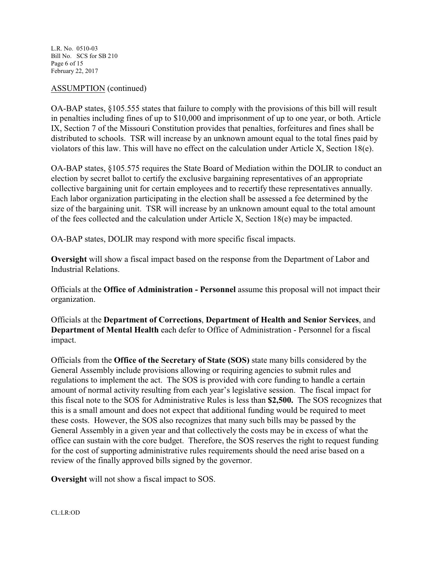L.R. No. 0510-03 Bill No. SCS for SB 210 Page 6 of 15 February 22, 2017

# ASSUMPTION (continued)

OA-BAP states, §105.555 states that failure to comply with the provisions of this bill will result in penalties including fines of up to \$10,000 and imprisonment of up to one year, or both. Article IX, Section 7 of the Missouri Constitution provides that penalties, forfeitures and fines shall be distributed to schools. TSR will increase by an unknown amount equal to the total fines paid by violators of this law. This will have no effect on the calculation under Article X, Section 18(e).

OA-BAP states, §105.575 requires the State Board of Mediation within the DOLIR to conduct an election by secret ballot to certify the exclusive bargaining representatives of an appropriate collective bargaining unit for certain employees and to recertify these representatives annually. Each labor organization participating in the election shall be assessed a fee determined by the size of the bargaining unit. TSR will increase by an unknown amount equal to the total amount of the fees collected and the calculation under Article X, Section 18(e) may be impacted.

OA-BAP states, DOLIR may respond with more specific fiscal impacts.

**Oversight** will show a fiscal impact based on the response from the Department of Labor and Industrial Relations.

Officials at the **Office of Administration - Personnel** assume this proposal will not impact their organization.

Officials at the **Department of Corrections**, **Department of Health and Senior Services**, and **Department of Mental Health** each defer to Office of Administration - Personnel for a fiscal impact.

Officials from the **Office of the Secretary of State (SOS)** state many bills considered by the General Assembly include provisions allowing or requiring agencies to submit rules and regulations to implement the act. The SOS is provided with core funding to handle a certain amount of normal activity resulting from each year's legislative session. The fiscal impact for this fiscal note to the SOS for Administrative Rules is less than **\$2,500.** The SOS recognizes that this is a small amount and does not expect that additional funding would be required to meet these costs. However, the SOS also recognizes that many such bills may be passed by the General Assembly in a given year and that collectively the costs may be in excess of what the office can sustain with the core budget. Therefore, the SOS reserves the right to request funding for the cost of supporting administrative rules requirements should the need arise based on a review of the finally approved bills signed by the governor.

**Oversight** will not show a fiscal impact to SOS.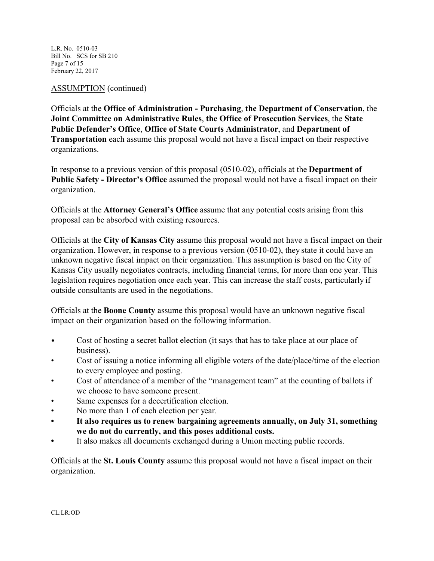L.R. No. 0510-03 Bill No. SCS for SB 210 Page 7 of 15 February 22, 2017

ASSUMPTION (continued)

Officials at the **Office of Administration - Purchasing**, **the Department of Conservation**, the **Joint Committee on Administrative Rules**, **the Office of Prosecution Services**, the **State Public Defender's Office**, **Office of State Courts Administrator**, and **Department of Transportation** each assume this proposal would not have a fiscal impact on their respective organizations.

In response to a previous version of this proposal (0510-02), officials at the **Department of Public Safety - Director's Office** assumed the proposal would not have a fiscal impact on their organization.

Officials at the **Attorney General's Office** assume that any potential costs arising from this proposal can be absorbed with existing resources.

Officials at the **City of Kansas City** assume this proposal would not have a fiscal impact on their organization. However, in response to a previous version (0510-02), they state it could have an unknown negative fiscal impact on their organization. This assumption is based on the City of Kansas City usually negotiates contracts, including financial terms, for more than one year. This legislation requires negotiation once each year. This can increase the staff costs, particularly if outside consultants are used in the negotiations.

Officials at the **Boone County** assume this proposal would have an unknown negative fiscal impact on their organization based on the following information.

- Cost of hosting a secret ballot election (it says that has to take place at our place of business).
- Cost of issuing a notice informing all eligible voters of the date/place/time of the election to every employee and posting.
- Cost of attendance of a member of the "management team" at the counting of ballots if we choose to have someone present.
- Same expenses for a decertification election.
- No more than 1 of each election per year.
- **• It also requires us to renew bargaining agreements annually, on July 31, something we do not do currently, and this poses additional costs.**
- **•** It also makes all documents exchanged during a Union meeting public records.

Officials at the **St. Louis County** assume this proposal would not have a fiscal impact on their organization.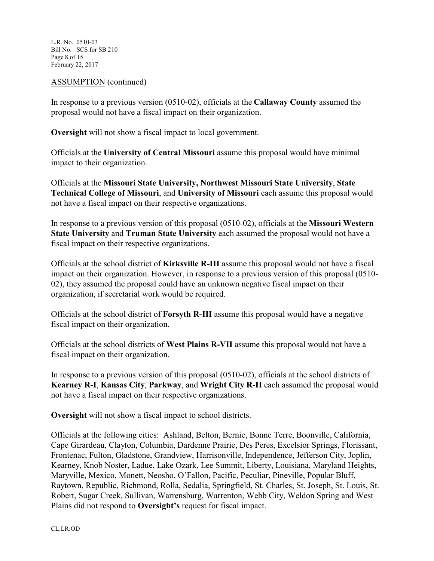L.R. No. 0510-03 Bill No. SCS for SB 210 Page 8 of 15 February 22, 2017

# ASSUMPTION (continued)

In response to a previous version (0510-02), officials at the **Callaway County** assumed the proposal would not have a fiscal impact on their organization.

**Oversight** will not show a fiscal impact to local government.

Officials at the **University of Central Missouri** assume this proposal would have minimal impact to their organization.

Officials at the **Missouri State University, Northwest Missouri State University**, **State Technical College of Missouri**, and **University of Missouri** each assume this proposal would not have a fiscal impact on their respective organizations.

In response to a previous version of this proposal (0510-02), officials at the **Missouri Western State University** and **Truman State University** each assumed the proposal would not have a fiscal impact on their respective organizations.

Officials at the school district of **Kirksville R-III** assume this proposal would not have a fiscal impact on their organization. However, in response to a previous version of this proposal (0510- 02), they assumed the proposal could have an unknown negative fiscal impact on their organization, if secretarial work would be required.

Officials at the school district of **Forsyth R-III** assume this proposal would have a negative fiscal impact on their organization.

Officials at the school districts of **West Plains R-VII** assume this proposal would not have a fiscal impact on their organization.

In response to a previous version of this proposal (0510-02), officials at the school districts of **Kearney R-I**, **Kansas City**, **Parkway**, and **Wright City R-II** each assumed the proposal would not have a fiscal impact on their respective organizations.

**Oversight** will not show a fiscal impact to school districts.

Officials at the following cities: Ashland, Belton, Bernie, Bonne Terre, Boonville, California, Cape Girardeau, Clayton, Columbia, Dardenne Prairie, Des Peres, Excelsior Springs, Florissant, Frontenac, Fulton, Gladstone, Grandview, Harrisonville, Independence, Jefferson City, Joplin, Kearney, Knob Noster, Ladue, Lake Ozark, Lee Summit, Liberty, Louisiana, Maryland Heights, Maryville, Mexico, Monett, Neosho, O'Fallon, Pacific, Peculiar, Pineville, Popular Bluff, Raytown, Republic, Richmond, Rolla, Sedalia, Springfield, St. Charles, St. Joseph, St. Louis, St. Robert, Sugar Creek, Sullivan, Warrensburg, Warrenton, Webb City, Weldon Spring and West Plains did not respond to **Oversight's** request for fiscal impact.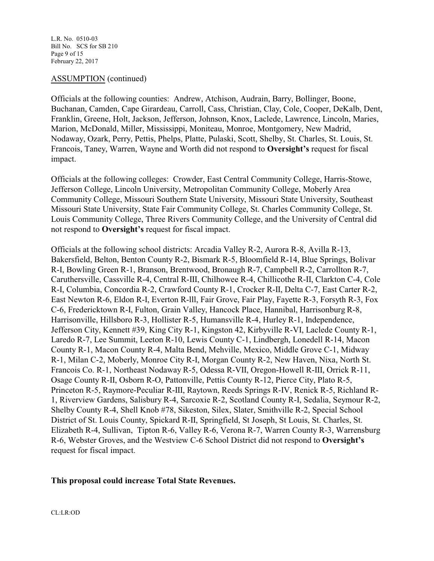#### ASSUMPTION (continued)

Officials at the following counties: Andrew, Atchison, Audrain, Barry, Bollinger, Boone, Buchanan, Camden, Cape Girardeau, Carroll, Cass, Christian, Clay, Cole, Cooper, DeKalb, Dent, Franklin, Greene, Holt, Jackson, Jefferson, Johnson, Knox, Laclede, Lawrence, Lincoln, Maries, Marion, McDonald, Miller, Mississippi, Moniteau, Monroe, Montgomery, New Madrid, Nodaway, Ozark, Perry, Pettis, Phelps, Platte, Pulaski, Scott, Shelby, St. Charles, St. Louis, St. Francois, Taney, Warren, Wayne and Worth did not respond to **Oversight's** request for fiscal impact.

Officials at the following colleges: Crowder, East Central Community College, Harris-Stowe, Jefferson College, Lincoln University, Metropolitan Community College, Moberly Area Community College, Missouri Southern State University, Missouri State University, Southeast Missouri State University, State Fair Community College, St. Charles Community College, St. Louis Community College, Three Rivers Community College, and the University of Central did not respond to **Oversight's** request for fiscal impact.

Officials at the following school districts: Arcadia Valley R-2, Aurora R-8, Avilla R-13, Bakersfield, Belton, Benton County R-2, Bismark R-5, Bloomfield R-14, Blue Springs, Bolivar R-I, Bowling Green R-1, Branson, Brentwood, Bronaugh R-7, Campbell R-2, Carrollton R-7, Caruthersville, Cassville R-4, Central R-III, Chilhowee R-4, Chillicothe R-II, Clarkton C-4, Cole R-I, Columbia, Concordia R-2, Crawford County R-1, Crocker R-II, Delta C-7, East Carter R-2, East Newton R-6, Eldon R-I, Everton R-lll, Fair Grove, Fair Play, Fayette R-3, Forsyth R-3, Fox C-6, Fredericktown R-I, Fulton, Grain Valley, Hancock Place, Hannibal, Harrisonburg R-8, Harrisonville, Hillsboro R-3, Hollister R-5, Humansville R-4, Hurley R-1, Independence, Jefferson City, Kennett #39, King City R-1, Kingston 42, Kirbyville R-VI, Laclede County R-1, Laredo R-7, Lee Summit, Leeton R-10, Lewis County C-1, Lindbergh, Lonedell R-14, Macon County R-1, Macon County R-4, Malta Bend, Mehville, Mexico, Middle Grove C-1, Midway R-1, Milan C-2, Moberly, Monroe City R-I, Morgan County R-2, New Haven, Nixa, North St. Francois Co. R-1, Northeast Nodaway R-5, Odessa R-VII, Oregon-Howell R-III, Orrick R-11, Osage County R-II, Osborn R-O, Pattonville, Pettis County R-12, Pierce City, Plato R-5, Princeton R-5, Raymore-Peculiar R-III, Raytown, Reeds Springs R-IV, Renick R-5, Richland R-1, Riverview Gardens, Salisbury R-4, Sarcoxie R-2, Scotland County R-I, Sedalia, Seymour R-2, Shelby County R-4, Shell Knob #78, Sikeston, Silex, Slater, Smithville R-2, Special School District of St. Louis County, Spickard R-II, Springfield, St Joseph, St Louis, St. Charles, St. Elizabeth R-4, Sullivan, Tipton R-6, Valley R-6, Verona R-7, Warren County R-3, Warrensburg R-6, Webster Groves, and the Westview C-6 School District did not respond to **Oversight's** request for fiscal impact.

# **This proposal could increase Total State Revenues.**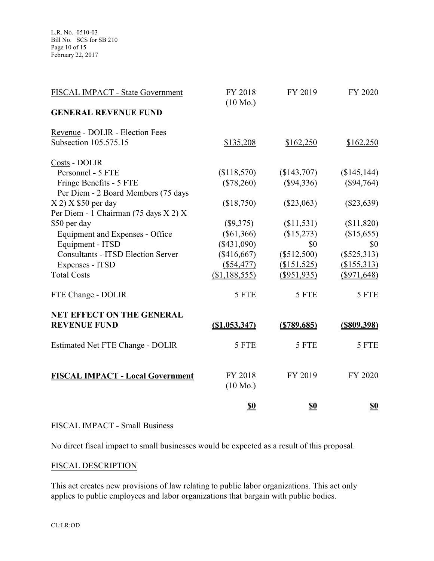| FISCAL IMPACT - State Government          | FY 2018<br>$(10 \text{ Mo.})$ | FY 2019        | FY 2020        |
|-------------------------------------------|-------------------------------|----------------|----------------|
| <b>GENERAL REVENUE FUND</b>               |                               |                |                |
| Revenue - DOLIR - Election Fees           |                               |                |                |
| Subsection 105.575.15                     | \$135,208                     | \$162,250      | \$162,250      |
| Costs - DOLIR                             |                               |                |                |
| Personnel - 5 FTE                         | (\$118,570)                   | (\$143,707)    | (\$145, 144)   |
| Fringe Benefits - 5 FTE                   | $(\$78,260)$                  | $(\$94,336)$   | $(\$94,764)$   |
| Per Diem - 2 Board Members (75 days       |                               |                |                |
| $X 2$ ) $X$ \$50 per day                  | (\$18,750)                    | $(\$23,063)$   | $(\$23,639)$   |
| Per Diem - 1 Chairman (75 days X 2) X     |                               |                |                |
| \$50 per day                              | $(\$9,375)$                   | (\$11,531)     | (\$11,820)     |
| Equipment and Expenses - Office           | $(\$61,366)$                  | (\$15,273)     | (\$15,655)     |
| Equipment - ITSD                          | (\$431,090)                   | \$0            | \$0            |
| <b>Consultants - ITSD Election Server</b> | (\$416,667)                   | (\$512,500)    | $(\$525,313)$  |
| Expenses - ITSD                           | (\$54,477)                    | (\$151,525)    | (\$155,313)    |
| <b>Total Costs</b>                        | (\$1,188,555)                 | $(\$951,935)$  | $(\$971,648)$  |
| FTE Change - DOLIR                        | 5 FTE                         | 5 FTE          | 5 FTE          |
| <b>NET EFFECT ON THE GENERAL</b>          |                               |                |                |
| <b>REVENUE FUND</b>                       | (S1,053,347)                  | $($ \$789,685) | $($ \$809,398) |
| <b>Estimated Net FTE Change - DOLIR</b>   | 5 FTE                         | 5 FTE          | 5 FTE          |
| <b>FISCAL IMPACT - Local Government</b>   | FY 2018                       | FY 2019        | FY 2020        |
|                                           | $(10 \text{ Mo.})$            |                |                |
|                                           | <u>\$0</u>                    | <u>\$0</u>     | <u>\$0</u>     |

# FISCAL IMPACT - Small Business

No direct fiscal impact to small businesses would be expected as a result of this proposal.

# FISCAL DESCRIPTION

This act creates new provisions of law relating to public labor organizations. This act only applies to public employees and labor organizations that bargain with public bodies.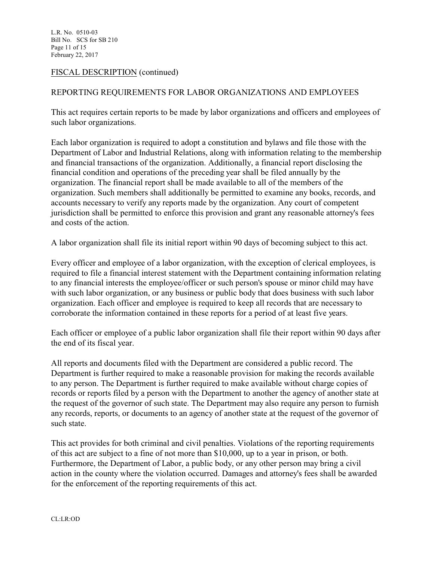L.R. No. 0510-03 Bill No. SCS for SB 210 Page 11 of 15 February 22, 2017

# FISCAL DESCRIPTION (continued)

# REPORTING REQUIREMENTS FOR LABOR ORGANIZATIONS AND EMPLOYEES

This act requires certain reports to be made by labor organizations and officers and employees of such labor organizations.

Each labor organization is required to adopt a constitution and bylaws and file those with the Department of Labor and Industrial Relations, along with information relating to the membership and financial transactions of the organization. Additionally, a financial report disclosing the financial condition and operations of the preceding year shall be filed annually by the organization. The financial report shall be made available to all of the members of the organization. Such members shall additionally be permitted to examine any books, records, and accounts necessary to verify any reports made by the organization. Any court of competent jurisdiction shall be permitted to enforce this provision and grant any reasonable attorney's fees and costs of the action.

A labor organization shall file its initial report within 90 days of becoming subject to this act.

Every officer and employee of a labor organization, with the exception of clerical employees, is required to file a financial interest statement with the Department containing information relating to any financial interests the employee/officer or such person's spouse or minor child may have with such labor organization, or any business or public body that does business with such labor organization. Each officer and employee is required to keep all records that are necessary to corroborate the information contained in these reports for a period of at least five years.

Each officer or employee of a public labor organization shall file their report within 90 days after the end of its fiscal year.

All reports and documents filed with the Department are considered a public record. The Department is further required to make a reasonable provision for making the records available to any person. The Department is further required to make available without charge copies of records or reports filed by a person with the Department to another the agency of another state at the request of the governor of such state. The Department may also require any person to furnish any records, reports, or documents to an agency of another state at the request of the governor of such state.

This act provides for both criminal and civil penalties. Violations of the reporting requirements of this act are subject to a fine of not more than \$10,000, up to a year in prison, or both. Furthermore, the Department of Labor, a public body, or any other person may bring a civil action in the county where the violation occurred. Damages and attorney's fees shall be awarded for the enforcement of the reporting requirements of this act.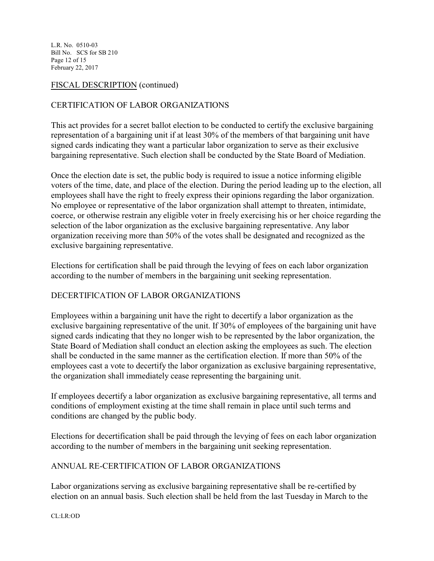L.R. No. 0510-03 Bill No. SCS for SB 210 Page 12 of 15 February 22, 2017

# FISCAL DESCRIPTION (continued)

# CERTIFICATION OF LABOR ORGANIZATIONS

This act provides for a secret ballot election to be conducted to certify the exclusive bargaining representation of a bargaining unit if at least 30% of the members of that bargaining unit have signed cards indicating they want a particular labor organization to serve as their exclusive bargaining representative. Such election shall be conducted by the State Board of Mediation.

Once the election date is set, the public body is required to issue a notice informing eligible voters of the time, date, and place of the election. During the period leading up to the election, all employees shall have the right to freely express their opinions regarding the labor organization. No employee or representative of the labor organization shall attempt to threaten, intimidate, coerce, or otherwise restrain any eligible voter in freely exercising his or her choice regarding the selection of the labor organization as the exclusive bargaining representative. Any labor organization receiving more than 50% of the votes shall be designated and recognized as the exclusive bargaining representative.

Elections for certification shall be paid through the levying of fees on each labor organization according to the number of members in the bargaining unit seeking representation.

# DECERTIFICATION OF LABOR ORGANIZATIONS

Employees within a bargaining unit have the right to decertify a labor organization as the exclusive bargaining representative of the unit. If 30% of employees of the bargaining unit have signed cards indicating that they no longer wish to be represented by the labor organization, the State Board of Mediation shall conduct an election asking the employees as such. The election shall be conducted in the same manner as the certification election. If more than 50% of the employees cast a vote to decertify the labor organization as exclusive bargaining representative, the organization shall immediately cease representing the bargaining unit.

If employees decertify a labor organization as exclusive bargaining representative, all terms and conditions of employment existing at the time shall remain in place until such terms and conditions are changed by the public body.

Elections for decertification shall be paid through the levying of fees on each labor organization according to the number of members in the bargaining unit seeking representation.

# ANNUAL RE-CERTIFICATION OF LABOR ORGANIZATIONS

Labor organizations serving as exclusive bargaining representative shall be re-certified by election on an annual basis. Such election shall be held from the last Tuesday in March to the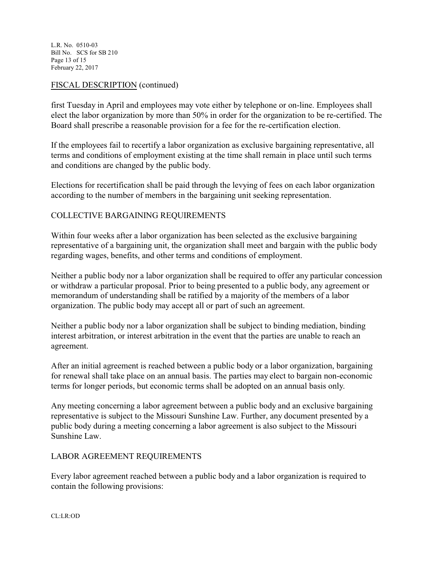L.R. No. 0510-03 Bill No. SCS for SB 210 Page 13 of 15 February 22, 2017

# FISCAL DESCRIPTION (continued)

first Tuesday in April and employees may vote either by telephone or on-line. Employees shall elect the labor organization by more than 50% in order for the organization to be re-certified. The Board shall prescribe a reasonable provision for a fee for the re-certification election.

If the employees fail to recertify a labor organization as exclusive bargaining representative, all terms and conditions of employment existing at the time shall remain in place until such terms and conditions are changed by the public body.

Elections for recertification shall be paid through the levying of fees on each labor organization according to the number of members in the bargaining unit seeking representation.

# COLLECTIVE BARGAINING REQUIREMENTS

Within four weeks after a labor organization has been selected as the exclusive bargaining representative of a bargaining unit, the organization shall meet and bargain with the public body regarding wages, benefits, and other terms and conditions of employment.

Neither a public body nor a labor organization shall be required to offer any particular concession or withdraw a particular proposal. Prior to being presented to a public body, any agreement or memorandum of understanding shall be ratified by a majority of the members of a labor organization. The public body may accept all or part of such an agreement.

Neither a public body nor a labor organization shall be subject to binding mediation, binding interest arbitration, or interest arbitration in the event that the parties are unable to reach an agreement.

After an initial agreement is reached between a public body or a labor organization, bargaining for renewal shall take place on an annual basis. The parties may elect to bargain non-economic terms for longer periods, but economic terms shall be adopted on an annual basis only.

Any meeting concerning a labor agreement between a public body and an exclusive bargaining representative is subject to the Missouri Sunshine Law. Further, any document presented by a public body during a meeting concerning a labor agreement is also subject to the Missouri Sunshine Law.

# LABOR AGREEMENT REQUIREMENTS

Every labor agreement reached between a public body and a labor organization is required to contain the following provisions: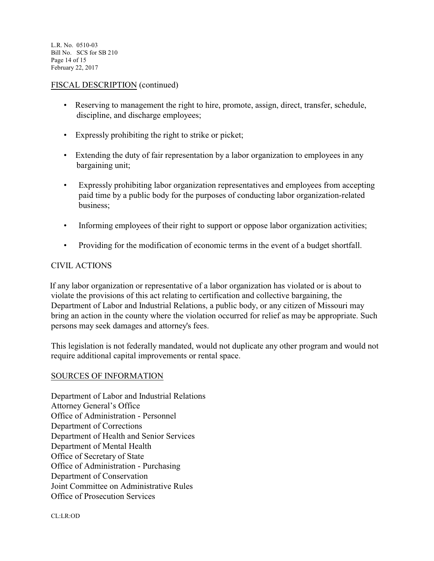L.R. No. 0510-03 Bill No. SCS for SB 210 Page 14 of 15 February 22, 2017

#### FISCAL DESCRIPTION (continued)

- Reserving to management the right to hire, promote, assign, direct, transfer, schedule, discipline, and discharge employees;
- Expressly prohibiting the right to strike or picket;
- Extending the duty of fair representation by a labor organization to employees in any bargaining unit;
- Expressly prohibiting labor organization representatives and employees from accepting paid time by a public body for the purposes of conducting labor organization-related business;
- Informing employees of their right to support or oppose labor organization activities;
- Providing for the modification of economic terms in the event of a budget shortfall.

# CIVIL ACTIONS

 If any labor organization or representative of a labor organization has violated or is about to violate the provisions of this act relating to certification and collective bargaining, the Department of Labor and Industrial Relations, a public body, or any citizen of Missouri may bring an action in the county where the violation occurred for relief as may be appropriate. Such persons may seek damages and attorney's fees.

This legislation is not federally mandated, would not duplicate any other program and would not require additional capital improvements or rental space.

# SOURCES OF INFORMATION

Department of Labor and Industrial Relations Attorney General's Office Office of Administration - Personnel Department of Corrections Department of Health and Senior Services Department of Mental Health Office of Secretary of State Office of Administration - Purchasing Department of Conservation Joint Committee on Administrative Rules Office of Prosecution Services